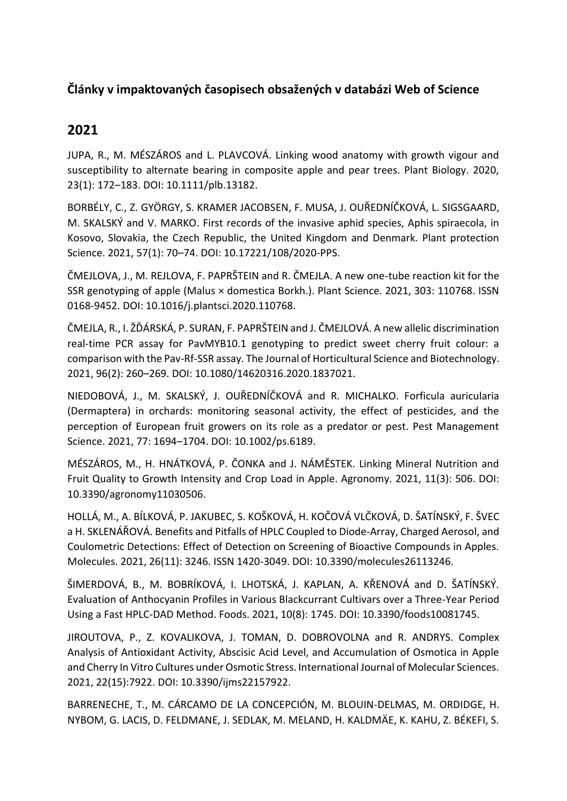## **Články v impaktovaných časopisech obsažených v databázi Web of Science**

# **2021**

JUPA, R., M. MÉSZÁROS and L. PLAVCOVÁ. Linking wood anatomy with growth vigour and susceptibility to alternate bearing in composite apple and pear trees. Plant Biology. 2020, 23(1): 172–183. DOI: 10.1111/plb.13182.

BORBÉLY, C., Z. GYÖRGY, S. KRAMER JACOBSEN, F. MUSA, J. OUŘEDNÍČKOVÁ, L. SIGSGAARD, M. SKALSKÝ and V. MARKO. First records of the invasive aphid species, Aphis spiraecola, in Kosovo, Slovakia, the Czech Republic, the United Kingdom and Denmark. Plant protection Science. 2021, 57(1): 70–74. DOI: 10.17221/108/2020-PPS.

ČMEJLOVA, J., M. REJLOVA, F. PAPRŠTEIN and R. ČMEJLA. A new one-tube reaction kit for the SSR genotyping of apple (Malus × domestica Borkh.). Plant Science. 2021, 303: 110768. ISSN 0168-9452. DOI: 10.1016/j.plantsci.2020.110768.

ČMEJLA, R., I. ŽĎÁRSKÁ, P. SURAN, F. PAPRŠTEIN and J. ČMEJLOVÁ. A new allelic discrimination real-time PCR assay for PavMYB10.1 genotyping to predict sweet cherry fruit colour: a comparison with the Pav-Rf-SSR assay. The Journal of Horticultural Science and Biotechnology. 2021, 96(2): 260–269. DOI: 10.1080/14620316.2020.1837021.

NIEDOBOVÁ, J., M. SKALSKÝ, J. OUŘEDNÍČKOVÁ and R. MICHALKO. Forficula auricularia (Dermaptera) in orchards: monitoring seasonal activity, the effect of pesticides, and the perception of European fruit growers on its role as a predator or pest. Pest Management Science. 2021, 77: 1694–1704. DOI: 10.1002/ps.6189.

MÉSZÁROS, M., H. HNÁTKOVÁ, P. ČONKA and J. NÁMĚSTEK. Linking Mineral Nutrition and Fruit Quality to Growth Intensity and Crop Load in Apple. Agronomy. 2021, 11(3): 506. DOI: 10.3390/agronomy11030506.

HOLLÁ, M., A. BÍLKOVÁ, P. JAKUBEC, S. KOŠKOVÁ, H. KOČOVÁ VLČKOVÁ, D. ŠATÍNSKÝ, F. ŠVEC a H. SKLENÁŘOVÁ. Benefits and Pitfalls of HPLC Coupled to Diode-Array, Charged Aerosol, and Coulometric Detections: Effect of Detection on Screening of Bioactive Compounds in Apples. Molecules. 2021, 26(11): 3246. ISSN 1420-3049. DOI: 10.3390/molecules26113246.

ŠIMERDOVÁ, B., M. BOBRÍKOVÁ, I. LHOTSKÁ, J. KAPLAN, A. KŘENOVÁ and D. ŠATÍNSKÝ. Evaluation of Anthocyanin Profiles in Various Blackcurrant Cultivars over a Three-Year Period Using a Fast HPLC-DAD Method. Foods. 2021, 10(8): 1745. DOI: 10.3390/foods10081745.

JIROUTOVA, P., Z. KOVALIKOVA, J. TOMAN, D. DOBROVOLNA and R. ANDRYS. Complex Analysis of Antioxidant Activity, Abscisic Acid Level, and Accumulation of Osmotica in Apple and Cherry In Vitro Cultures under Osmotic Stress. International Journal of Molecular Sciences. 2021, 22(15):7922. DOI: 10.3390/ijms22157922.

BARRENECHE, T., M. CÁRCAMO DE LA CONCEPCIÓN, M. BLOUIN-DELMAS, M. ORDIDGE, H. NYBOM, G. LACIS, D. FELDMANE, J. SEDLAK, M. MELAND, H. KALDMÄE, K. KAHU, Z. BÉKEFI, S.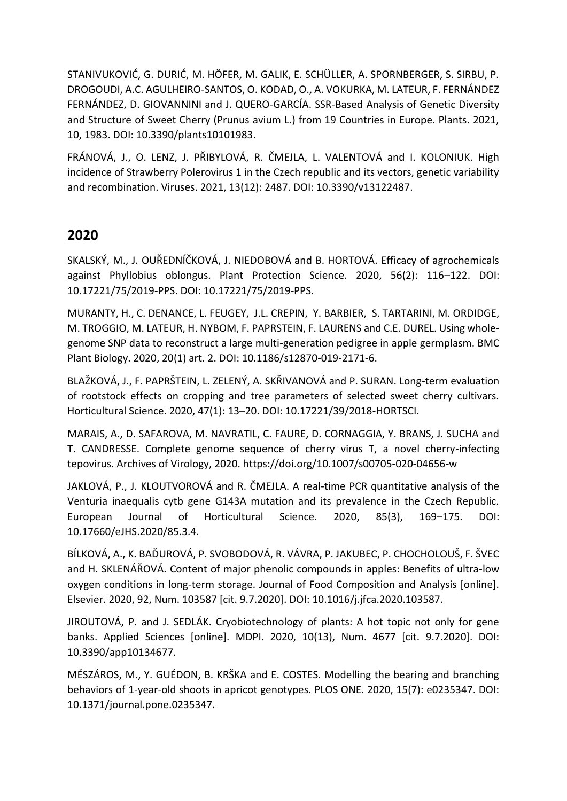STANIVUKOVIĆ, G. DURIĆ, M. HÖFER, M. GALIK, E. SCHÜLLER, A. SPORNBERGER, S. SIRBU, P. DROGOUDI, A.C. AGULHEIRO-SANTOS, O. KODAD, O., A. VOKURKA, M. LATEUR, F. FERNÁNDEZ FERNÁNDEZ, D. GIOVANNINI and J. QUERO-GARCÍA. SSR-Based Analysis of Genetic Diversity and Structure of Sweet Cherry (Prunus avium L.) from 19 Countries in Europe. Plants. 2021, 10, 1983. DOI: 10.3390/plants10101983.

FRÁNOVÁ, J., O. LENZ, J. PŘIBYLOVÁ, R. ČMEJLA, L. VALENTOVÁ and I. KOLONIUK. High incidence of Strawberry Polerovirus 1 in the Czech republic and its vectors, genetic variability and recombination. Viruses. 2021, 13(12): 2487. DOI: 10.3390/v13122487.

## **2020**

SKALSKÝ, M., J. OUŘEDNÍČKOVÁ, J. NIEDOBOVÁ and B. HORTOVÁ. Efficacy of agrochemicals against Phyllobius oblongus. Plant Protection Science. 2020, 56(2): 116–122. DOI: 10.17221/75/2019-PPS. DOI: 10.17221/75/2019-PPS.

MURANTY, H., C. DENANCE, L. FEUGEY, J.L. CREPIN, Y. BARBIER, S. TARTARINI, M. ORDIDGE, M. TROGGIO, M. LATEUR, H. NYBOM, F. PAPRSTEIN, F. LAURENS and C.E. DUREL. Using wholegenome SNP data to reconstruct a large multi-generation pedigree in apple germplasm. BMC Plant Biology. 2020, 20(1) art. 2. DOI: 10.1186/s12870-019-2171-6.

BLAŽKOVÁ, J., F. PAPRŠTEIN, L. ZELENÝ, A. SKŘIVANOVÁ and P. SURAN. Long-term evaluation of rootstock effects on cropping and tree parameters of selected sweet cherry cultivars. Horticultural Science. 2020, 47(1): 13–20. DOI: 10.17221/39/2018-HORTSCI.

MARAIS, A., D. SAFAROVA, M. NAVRATIL, C. FAURE, D. CORNAGGIA, Y. BRANS, J. SUCHA and T. CANDRESSE. Complete genome sequence of cherry virus T, a novel cherry-infecting tepovirus. Archives of Virology, 2020. https://doi.org/10.1007/s00705-020-04656-w

JAKLOVÁ, P., J. KLOUTVOROVÁ and R. ČMEJLA. A real-time PCR quantitative analysis of the Venturia inaequalis cytb gene G143A mutation and its prevalence in the Czech Republic. European Journal of Horticultural Science. 2020, 85(3), 169–175. DOI: 10.17660/eJHS.2020/85.3.4.

BÍLKOVÁ, A., K. BAĎUROVÁ, P. SVOBODOVÁ, R. VÁVRA, P. JAKUBEC, P. CHOCHOLOUŠ, F. ŠVEC and H. SKLENÁŘOVÁ. Content of major phenolic compounds in apples: Benefits of ultra-low oxygen conditions in long-term storage. Journal of Food Composition and Analysis [online]. Elsevier. 2020, 92, Num. 103587 [cit. 9.7.2020]. DOI: 10.1016/j.jfca.2020.103587.

JIROUTOVÁ, P. and J. SEDLÁK. Cryobiotechnology of plants: A hot topic not only for gene banks. Applied Sciences [online]. MDPI. 2020, 10(13), Num. 4677 [cit. 9.7.2020]. DOI: 10.3390/app10134677.

MÉSZÁROS, M., Y. GUÉDON, B. KRŠKA and E. COSTES. Modelling the bearing and branching behaviors of 1-year-old shoots in apricot genotypes. PLOS ONE. 2020, 15(7): e0235347. DOI: 10.1371/journal.pone.0235347.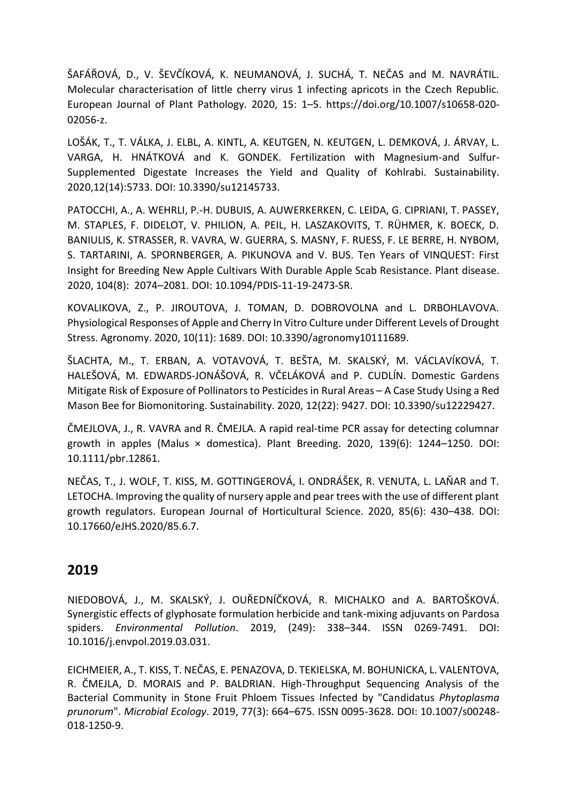ŠAFÁŘOVÁ, D., V. ŠEVČÍKOVÁ, K. NEUMANOVÁ, J. SUCHÁ, T. NEČAS and M. NAVRÁTIL. Molecular characterisation of little cherry virus 1 infecting apricots in the Czech Republic. European Journal of Plant Pathology. 2020, 15: 1–5. https://doi.org/10.1007/s10658-020- 02056-z.

LOŠÁK, T., T. VÁLKA, J. ELBL, A. KINTL, A. KEUTGEN, N. KEUTGEN, L. DEMKOVÁ, J. ÁRVAY, L. VARGA, H. HNÁTKOVÁ and K. GONDEK. Fertilization with Magnesium-and Sulfur-Supplemented Digestate Increases the Yield and Quality of Kohlrabi. Sustainability. 2020,12(14):5733. DOI: 10.3390/su12145733.

PATOCCHI, A., A. WEHRLI, P.-H. DUBUIS, A. AUWERKERKEN, C. LEIDA, G. CIPRIANI, T. PASSEY, M. STAPLES, F. DIDELOT, V. PHILION, A. PEIL, H. LASZAKOVITS, T. RÜHMER, K. BOECK, D. BANIULIS, K. STRASSER, R. VAVRA, W. GUERRA, S. MASNY, F. RUESS, F. LE BERRE, H. NYBOM, S. TARTARINI, A. SPORNBERGER, A. PIKUNOVA and V. BUS. Ten Years of VINQUEST: First Insight for Breeding New Apple Cultivars With Durable Apple Scab Resistance. Plant disease. 2020, 104(8): 2074–2081. DOI: 10.1094/PDIS-11-19-2473-SR.

KOVALIKOVA, Z., P. JIROUTOVA, J. TOMAN, D. DOBROVOLNA and L. DRBOHLAVOVA. Physiological Responses of Apple and Cherry In Vitro Culture under Different Levels of Drought Stress. Agronomy. 2020, 10(11): 1689. DOI: 10.3390/agronomy10111689.

ŠLACHTA, M., T. ERBAN, A. VOTAVOVÁ, T. BEŠTA, M. SKALSKÝ, M. VÁCLAVÍKOVÁ, T. HALEŠOVÁ, M. EDWARDS-JONÁŠOVÁ, R. VČELÁKOVÁ and P. CUDLÍN. Domestic Gardens Mitigate Risk of Exposure of Pollinators to Pesticides in Rural Areas – A Case Study Using a Red Mason Bee for Biomonitoring. Sustainability. 2020, 12(22): 9427. DOI: 10.3390/su12229427.

ČMEJLOVA, J., R. VAVRA and R. ČMEJLA. A rapid real‐time PCR assay for detecting columnar growth in apples (Malus × domestica). Plant Breeding. 2020, 139(6): 1244–1250. DOI: 10.1111/pbr.12861.

NEČAS, T., J. WOLF, T. KISS, M. GOTTINGEROVÁ, I. ONDRÁŠEK, R. VENUTA, L. LAŇAR and T. LETOCHA. Improving the quality of nursery apple and pear trees with the use of different plant growth regulators. European Journal of Horticultural Science. 2020, 85(6): 430–438. DOI: 10.17660/eJHS.2020/85.6.7.

#### **2019**

NIEDOBOVÁ, J., M. SKALSKÝ, J. OUŘEDNÍČKOVÁ, R. MICHALKO and A. BARTOŠKOVÁ. Synergistic effects of glyphosate formulation herbicide and tank-mixing adjuvants on Pardosa spiders. *Environmental Pollution*. 2019, (249): 338–344. ISSN 0269-7491. DOI: 10.1016/j.envpol.2019.03.031.

EICHMEIER, A., T. KISS, T. NEČAS, E. PENAZOVA, D. TEKIELSKA, M. BOHUNICKA, L. VALENTOVA, R. ČMEJLA, D. MORAIS and P. BALDRIAN. High-Throughput Sequencing Analysis of the Bacterial Community in Stone Fruit Phloem Tissues Infected by "Candidatus *Phytoplasma prunorum*". *Microbial Ecology*. 2019, 77(3): 664–675. ISSN 0095-3628. DOI: 10.1007/s00248- 018-1250-9.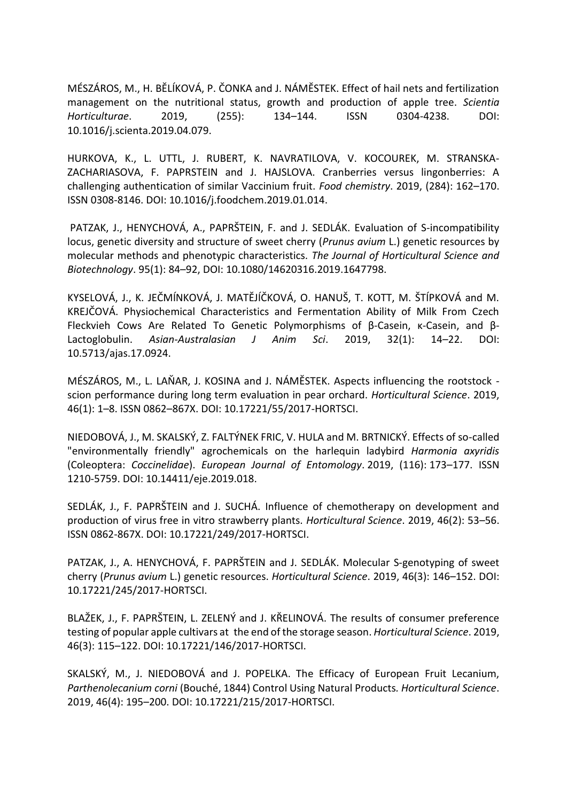MÉSZÁROS, M., H. BĚLÍKOVÁ, P. ČONKA and J. NÁMĚSTEK. Effect of hail nets and fertilization management on the nutritional status, growth and production of apple tree. *Scientia Horticulturae*. 2019, (255): 134–144. ISSN 0304-4238. DOI: 10.1016/j.scienta.2019.04.079.

HURKOVA, K., L. UTTL, J. RUBERT, K. NAVRATILOVA, V. KOCOUREK, M. STRANSKA-ZACHARIASOVA, F. PAPRSTEIN and J. HAJSLOVA. Cranberries versus lingonberries: A challenging authentication of similar Vaccinium fruit. *Food chemistry*. 2019, (284): 162–170. ISSN 0308-8146. DOI: 10.1016/j.foodchem.2019.01.014.

PATZAK, J., HENYCHOVÁ, A., PAPRŠTEIN, F. and J. SEDLÁK. Evaluation of S-incompatibility locus, genetic diversity and structure of sweet cherry (*Prunus avium* L.) genetic resources by molecular methods and phenotypic characteristics. *The Journal of Horticultural Science and Biotechnology*. 95(1): 84–92, DOI: 10.1080/14620316.2019.1647798.

KYSELOVÁ, J., K. JEČMÍNKOVÁ, J. MATĚJÍČKOVÁ, O. HANUŠ, T. KOTT, M. ŠTÍPKOVÁ and M. KREJČOVÁ. Physiochemical Characteristics and Fermentation Ability of Milk From Czech Fleckvieh Cows Are Related To Genetic Polymorphisms of β-Casein, κ-Casein, and β-Lactoglobulin. *Asian-Australasian J Anim Sci*. 2019, 32(1): 14–22. DOI: 10.5713/ajas.17.0924.

MÉSZÁROS, M., L. LAŇAR, J. KOSINA and J. NÁMĚSTEK. Aspects influencing the rootstock scion performance during long term evaluation in pear orchard. *Horticultural Science*. 2019, 46(1): 1–8. ISSN 0862–867X. DOI: 10.17221/55/2017-HORTSCI.

NIEDOBOVÁ, J., M. SKALSKÝ, Z. FALTÝNEK FRIC, V. HULA and M. BRTNICKÝ. Effects of so-called "environmentally friendly" agrochemicals on the harlequin ladybird *Harmonia axyridis* (Coleoptera: *Coccinelidae*). *European Journal of Entomology*. 2019, (116): 173–177. ISSN 1210-5759. DOI: 10.14411/eje.2019.018.

SEDLÁK, J., F. PAPRŠTEIN and J. SUCHÁ. Influence of chemotherapy on development and production of virus free in vitro strawberry plants. *Horticultural Science*. 2019, 46(2): 53–56. ISSN 0862-867X. DOI: 10.17221/249/2017-HORTSCI.

PATZAK, J., A. HENYCHOVÁ, F. PAPRŠTEIN and J. SEDLÁK. Molecular S-genotyping of sweet cherry (*Prunus avium* L.) genetic resources. *Horticultural Science*. 2019, 46(3): 146–152. DOI: 10.17221/245/2017-HORTSCI.

BLAŽEK, J., F. PAPRŠTEIN, L. ZELENÝ and J. KŘELINOVÁ. The results of consumer preference testing of popular apple cultivars at the end of the storage season. *Horticultural Science*. 2019, 46(3): 115–122. DOI: 10.17221/146/2017-HORTSCI.

SKALSKÝ, M., J. NIEDOBOVÁ and J. POPELKA. The Efficacy of European Fruit Lecanium, *Parthenolecanium corni* (Bouché, 1844) Control Using Natural Products*. Horticultural Science*. 2019, 46(4): 195–200. DOI: 10.17221/215/2017-HORTSCI.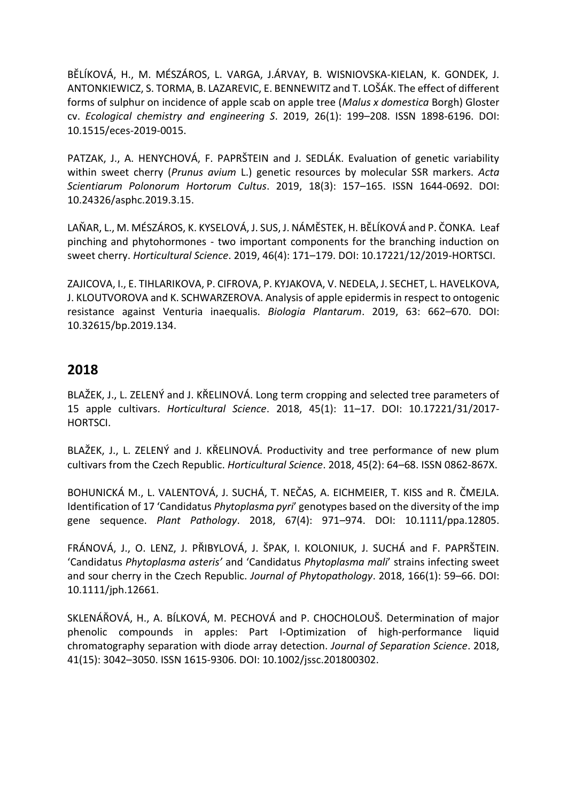BĚLÍKOVÁ, H., M. MÉSZÁROS, L. VARGA, J.ÁRVAY, B. WISNIOVSKA-KIELAN, K. GONDEK, J. ANTONKIEWICZ, S. TORMA, B. LAZAREVIC, E. BENNEWITZ and T. LOŠÁK. The effect of different forms of sulphur on incidence of apple scab on apple tree (*Malus x domestica* Borgh) Gloster cv. *Ecological chemistry and engineering S*. 2019, 26(1): 199–208. ISSN 1898-6196. DOI: 10.1515/eces-2019-0015.

PATZAK, J., A. HENYCHOVÁ, F. PAPRŠTEIN and J. SEDLÁK. Evaluation of genetic variability within sweet cherry (*Prunus avium* L.) genetic resources by molecular SSR markers. *Acta Scientiarum Polonorum Hortorum Cultus*. 2019, 18(3): 157–165. ISSN 1644-0692. DOI: 10.24326/asphc.2019.3.15.

LAŇAR, L., M. MÉSZÁROS, K. KYSELOVÁ, J. SUS, J. NÁMĚSTEK, H. BĚLÍKOVÁ and P. ČONKA. Leaf pinching and phytohormones - two important components for the branching induction on sweet cherry. *Horticultural Science*. 2019, 46(4): 171–179. DOI: 10.17221/12/2019-HORTSCI.

ZAJICOVA, I., E. TIHLARIKOVA, P. CIFROVA, P. KYJAKOVA, V. NEDELA, J. SECHET, L. HAVELKOVA, J. KLOUTVOROVA and K. SCHWARZEROVA. Analysis of apple epidermis in respect to ontogenic resistance against Venturia inaequalis. *Biologia Plantarum*. 2019, 63: 662–670. DOI: 10.32615/bp.2019.134.

#### **2018**

BLAŽEK, J., L. ZELENÝ and J. KŘELINOVÁ. Long term cropping and selected tree parameters of 15 apple cultivars. *Horticultural Science*. 2018, 45(1): 11–17. DOI: 10.17221/31/2017- HORTSCI.

BLAŽEK, J., L. ZELENÝ and J. KŘELINOVÁ. Productivity and tree performance of new plum cultivars from the Czech Republic. *Horticultural Science*. 2018, 45(2): 64–68. ISSN 0862-867X.

BOHUNICKÁ M., L. VALENTOVÁ, J. SUCHÁ, T. NEČAS, A. EICHMEIER, T. KISS and R. ČMEJLA. Identification of 17 'Candidatus *Phytoplasma pyri*' genotypes based on the diversity of the imp gene sequence. *Plant Pathology*. 2018, 67(4): 971–974. DOI: 10.1111/ppa.12805.

FRÁNOVÁ, J., O. LENZ, J. PŘIBYLOVÁ, J. ŠPAK, I. KOLONIUK, J. SUCHÁ and F. PAPRŠTEIN. 'Candidatus *Phytoplasma asteris'* and 'Candidatus *Phytoplasma mali*' strains infecting sweet and sour cherry in the Czech Republic. *Journal of Phytopathology*. 2018, 166(1): 59–66. DOI: 10.1111/jph.12661.

SKLENÁŘOVÁ, H., A. BÍLKOVÁ, M. PECHOVÁ and P. CHOCHOLOUŠ. Determination of major phenolic compounds in apples: Part I-Optimization of high‐performance liquid chromatography separation with diode array detection. *Journal of Separation Science*. 2018, 41(15): 3042–3050. ISSN 1615-9306. DOI: 10.1002/jssc.201800302.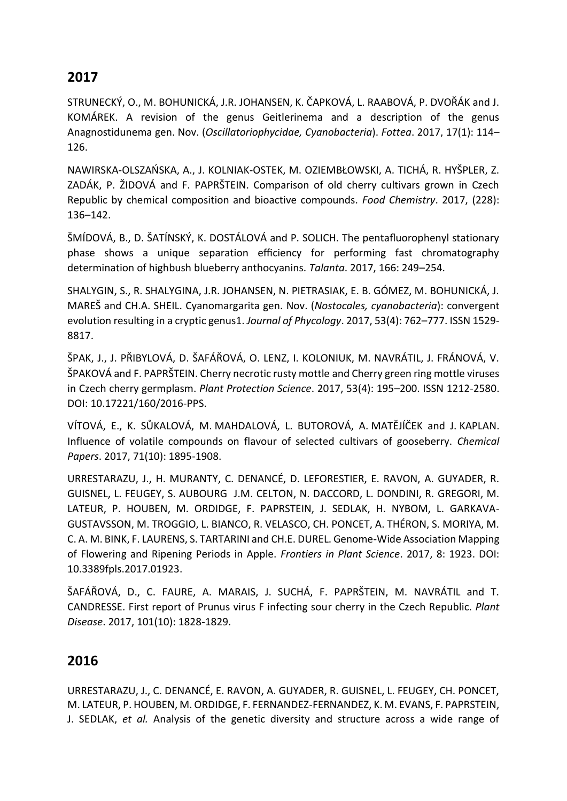### **2017**

STRUNECKÝ, O., M. BOHUNICKÁ, J.R. JOHANSEN, K. ČAPKOVÁ, L. RAABOVÁ, P. DVOŘÁK and J. KOMÁREK. A revision of the genus Geitlerinema and a description of the genus Anagnostidunema gen. Nov. (*Oscillatoriophycidae, Cyanobacteria*). *Fottea*. 2017, 17(1): 114– 126.

NAWIRSKA-OLSZAŃSKA, A., J. KOLNIAK-OSTEK, M. OZIEMBŁOWSKI, A. TICHÁ, R. HYŠPLER, Z. ZADÁK, P. ŽIDOVÁ and F. PAPRŠTEIN. Comparison of old cherry cultivars grown in Czech Republic by chemical composition and bioactive compounds. *Food Chemistry*. 2017, (228): 136–142.

ŠMÍDOVÁ, B., D. ŠATÍNSKÝ, K. DOSTÁLOVÁ and P. SOLICH. The pentafluorophenyl stationary phase shows a unique separation efficiency for performing fast chromatography determination of highbush blueberry anthocyanins. *Talanta*. 2017, 166: 249–254.

SHALYGIN, S., R. SHALYGINA, J.R. JOHANSEN, N. PIETRASIAK, E. B. GÓMEZ, M. BOHUNICKÁ, J. MAREŠ and CH.A. SHEIL. Cyanomargarita gen. Nov. (*Nostocales, cyanobacteria*): convergent evolution resulting in a cryptic genus1. *Journal of Phycology*. 2017, 53(4): 762–777. ISSN 1529- 8817.

ŠPAK, J., J. PŘIBYLOVÁ, D. ŠAFÁŘOVÁ, O. LENZ, I. KOLONIUK, M. NAVRÁTIL, J. FRÁNOVÁ, V. ŠPAKOVÁ and F. PAPRŠTEIN. Cherry necrotic rusty mottle and Cherry green ring mottle viruses in Czech cherry germplasm. *Plant Protection Science*. 2017, 53(4): 195–200. ISSN 1212-2580. DOI: 10.17221/160/2016-PPS.

VÍTOVÁ, E., K. SŮKALOVÁ, M. MAHDALOVÁ, L. BUTOROVÁ, A. MATĚJÍČEK and J. KAPLAN. Influence of volatile compounds on flavour of selected cultivars of gooseberry. *Chemical Papers*. 2017, 71(10): 1895-1908.

URRESTARAZU, J., H. MURANTY, C. DENANCÉ, D. LEFORESTIER, E. RAVON, A. GUYADER, R. GUISNEL, L. FEUGEY, S. AUBOURG J.M. CELTON, N. DACCORD, L. DONDINI, R. GREGORI, M. LATEUR, P. HOUBEN, M. ORDIDGE, F. PAPRSTEIN, J. SEDLAK, H. NYBOM, L. GARKAVA-GUSTAVSSON, M. TROGGIO, L. BIANCO, R. VELASCO, CH. PONCET, A. THÉRON, S. MORIYA, M. C. A. M. BINK, F. LAURENS, S. TARTARINI and CH.E. DUREL. Genome-Wide Association Mapping of Flowering and Ripening Periods in Apple. *Frontiers in Plant Science*. 2017, 8: 1923. DOI: 10.3389fpls.2017.01923.

ŠAFÁŘOVÁ, D., C. FAURE, A. MARAIS, J. SUCHÁ, F. PAPRŠTEIN, M. NAVRÁTIL and T. CANDRESSE. First report of Prunus virus F infecting sour cherry in the Czech Republic. *Plant Disease*. 2017, 101(10): 1828-1829.

## **2016**

URRESTARAZU, J., C. DENANCÉ, E. RAVON, A. GUYADER, R. GUISNEL, L. FEUGEY, CH. PONCET, M. LATEUR, P. HOUBEN, M. ORDIDGE, F. FERNANDEZ-FERNANDEZ, K. M. EVANS, F. PAPRSTEIN, J. SEDLAK, *et al.* Analysis of the genetic diversity and structure across a wide range of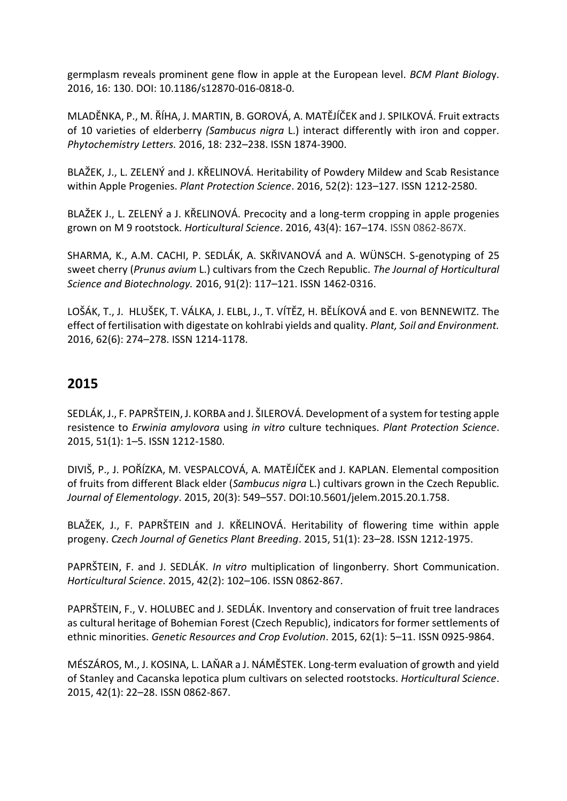germplasm reveals prominent gene flow in apple at the European level. *BCM Plant Biolog*y. 2016, 16: 130. DOI: 10.1186/s12870-016-0818-0.

MLADĚNKA, P., M. ŘÍHA, J. MARTIN, B. GOROVÁ, A. MATĚJÍČEK and J. SPILKOVÁ. Fruit extracts of 10 varieties of elderberry *(Sambucus nigra* L.) interact differently with iron and copper. *Phytochemistry Letters.* 2016, 18: 232–238. ISSN 1874-3900.

BLAŽEK, J., L. ZELENÝ and J. KŘELINOVÁ. Heritability of Powdery Mildew and Scab Resistance within Apple Progenies. *Plant Protection Science*. 2016, 52(2): 123–127. ISSN 1212-2580.

BLAŽEK J., L. ZELENÝ a J. KŘELINOVÁ. Precocity and a long-term cropping in apple progenies grown on M 9 rootstock. *Horticultural Science*. 2016, 43(4): 167–174. ISSN 0862-867X.

SHARMA, K., A.M. CACHI, P. SEDLÁK, A. SKŘIVANOVÁ and A. WÜNSCH. S-genotyping of 25 sweet cherry (*Prunus avium* L.) cultivars from the Czech Republic. *The Journal of Horticultural Science and Biotechnology.* 2016, 91(2): 117–121. ISSN 1462-0316.

LOŠÁK, T., J. HLUŠEK, T. VÁLKA, J. ELBL, J., T. VÍTĚZ, H. BĚLÍKOVÁ and E. von BENNEWITZ. The effect of fertilisation with digestate on kohlrabi yields and quality. *Plant, Soil and Environment.*  2016, 62(6): 274–278. ISSN 1214-1178.

## **2015**

SEDLÁK, J., F. PAPRŠTEIN, J. KORBA and J. ŠILEROVÁ. Development of a system for testing apple resistence to *Erwinia amylovora* using *in vitro* culture techniques. *Plant Protection Science*. 2015, 51(1): 1–5. ISSN 1212-1580.

DIVIŠ, P., J. POŘÍZKA, M. VESPALCOVÁ, A. MATĚJÍČEK and J. KAPLAN. Elemental composition of fruits from different Black elder (*Sambucus nigra* L.) cultivars grown in the Czech Republic. *Journal of Elementology*. 2015, 20(3): 549–557. DOI:10.5601/jelem.2015.20.1.758.

BLAŽEK, J., F. PAPRŠTEIN and J. KŘELINOVÁ. Heritability of flowering time within apple progeny. *Czech Journal of Genetics Plant Breeding*. 2015, 51(1): 23–28. ISSN 1212-1975.

PAPRŠTEIN, F. and J. SEDLÁK. *In vitro* multiplication of lingonberry. Short Communication. *Horticultural Science*. 2015, 42(2): 102–106. ISSN 0862-867.

PAPRŠTEIN, F., V. HOLUBEC and J. SEDLÁK. Inventory and conservation of fruit tree landraces as cultural heritage of Bohemian Forest (Czech Republic), indicators for former settlements of ethnic minorities. *Genetic Resources and Crop Evolution*. 2015, 62(1): 5–11. ISSN 0925-9864.

MÉSZÁROS, M., J. KOSINA, L. LAŇAR a J. NÁMĚSTEK. Long-term evaluation of growth and yield of Stanley and Cacanska lepotica plum cultivars on selected rootstocks. *Horticultural Science*. 2015, 42(1): 22–28. ISSN 0862-867.